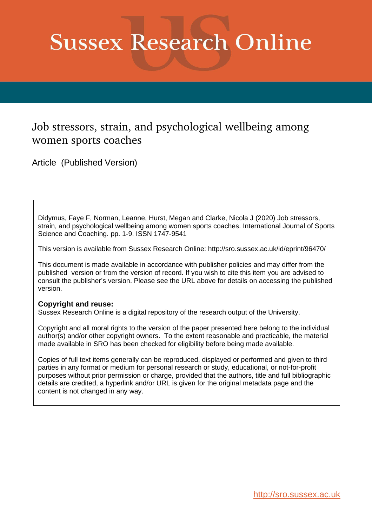# **Sussex Research Online**

# Job stressors, strain, and psychological wellbeing among women sports coaches

Article (Published Version)

Didymus, Faye F, Norman, Leanne, Hurst, Megan and Clarke, Nicola J (2020) Job stressors, strain, and psychological wellbeing among women sports coaches. International Journal of Sports Science and Coaching. pp. 1-9. ISSN 1747-9541

This version is available from Sussex Research Online: http://sro.sussex.ac.uk/id/eprint/96470/

This document is made available in accordance with publisher policies and may differ from the published version or from the version of record. If you wish to cite this item you are advised to consult the publisher's version. Please see the URL above for details on accessing the published version.

## **Copyright and reuse:**

Sussex Research Online is a digital repository of the research output of the University.

Copyright and all moral rights to the version of the paper presented here belong to the individual author(s) and/or other copyright owners. To the extent reasonable and practicable, the material made available in SRO has been checked for eligibility before being made available.

Copies of full text items generally can be reproduced, displayed or performed and given to third parties in any format or medium for personal research or study, educational, or not-for-profit purposes without prior permission or charge, provided that the authors, title and full bibliographic details are credited, a hyperlink and/or URL is given for the original metadata page and the content is not changed in any way.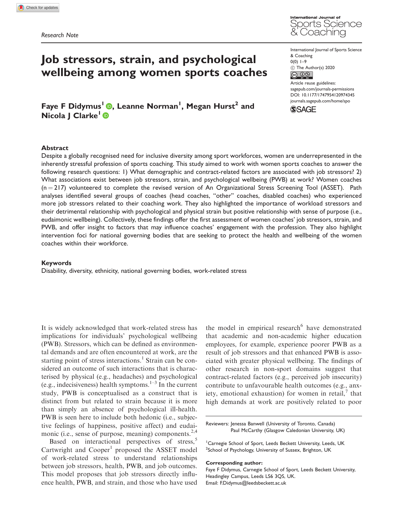

# Job stressors, strain, and psychological wellbeing among women sports coaches

Faye F Didymus<sup>I</sup> (D, Leanne Norman<sup>I</sup>, Megan Hurst<sup>2</sup> and Nicola | Clarke<sup>1</sup> ®

International Journal of Sports Science & Coaching  $0(0)$  1–9  $\circled{c}$  The Author(s) 2020

Article reuse guidelines: [sagepub.com/journals-permissions](http://uk.sagepub.com/en-gb/journals-permissions) [DOI: 10.1177/1747954120974345](http://dx.doi.org/10.1177/1747954120974345) <journals.sagepub.com/home/spo>

**SSAGE** 

#### Abstract

Despite a globally recognised need for inclusive diversity among sport workforces, women are underrepresented in the inherently stressful profession of sports coaching. This study aimed to work with women sports coaches to answer the following research questions: 1) What demographic and contract-related factors are associated with job stressors? 2) What associations exist between job stressors, strain, and psychological wellbeing (PWB) at work? Women coaches  $(n = 217)$  volunteered to complete the revised version of An Organizational Stress Screening Tool (ASSET). Path analyses identified several groups of coaches (head coaches, "other" coaches, disabled coaches) who experienced more job stressors related to their coaching work. They also highlighted the importance of workload stressors and their detrimental relationship with psychological and physical strain but positive relationship with sense of purpose (i.e., eudaimonic wellbeing). Collectively, these findings offer the first assessment of women coaches' job stressors, strain, and PWB, and offer insight to factors that may influence coaches' engagement with the profession. They also highlight intervention foci for national governing bodies that are seeking to protect the health and wellbeing of the women coaches within their workforce.

#### Keywords

Disability, diversity, ethnicity, national governing bodies, work-related stress

It is widely acknowledged that work-related stress has implications for individuals' psychological wellbeing (PWB). Stressors, which can be defined as environmental demands and are often encountered at work, are the starting point of stress interactions.<sup>1</sup> Strain can be considered an outcome of such interactions that is characterised by physical (e.g., headaches) and psychological (e.g., indecisiveness) health symptoms. $1-3$  In the current study, PWB is conceptualised as a construct that is distinct from but related to strain because it is more than simply an absence of psychological ill-health. PWB is seen here to include both hedonic (i.e., subjective feelings of happiness, positive affect) and eudaimonic (i.e., sense of purpose, meaning) components.<sup>2,4</sup>

Based on interactional perspectives of stress,<sup>5</sup> Cartwright and  $Cooper<sup>1</sup>$  proposed the ASSET model of work-related stress to understand relationships between job stressors, health, PWB, and job outcomes. This model proposes that job stressors directly influence health, PWB, and strain, and those who have used

the model in empirical research<sup>6</sup> have demonstrated that academic and non-academic higher education employees, for example, experience poorer PWB as a result of job stressors and that enhanced PWB is associated with greater physical wellbeing. The findings of other research in non-sport domains suggest that contract-related factors (e.g., perceived job insecurity) contribute to unfavourable health outcomes (e.g., anxiety, emotional exhaustion) for women in retail, $\frac{7}{1}$  that high demands at work are positively related to poor

Reviewers: Jenessa Banwell (University of Toronto, Canada) Paul McCarthy (Glasgow Caledonian University, UK)

<sup>1</sup> Carnegie School of Sport, Leeds Beckett University, Leeds, UK <sup>2</sup>School of Psychology, University of Sussex, Brighton, UK

#### Corresponding author:

Faye F Didymus, Carnegie School of Sport, Leeds Beckett University, Headingley Campus, Leeds LS6 3QS, UK. Email: [F.Didymus@leedsbeckett.ac.uk](mailto:F.Didymus@leedsbeckett.ac.uk)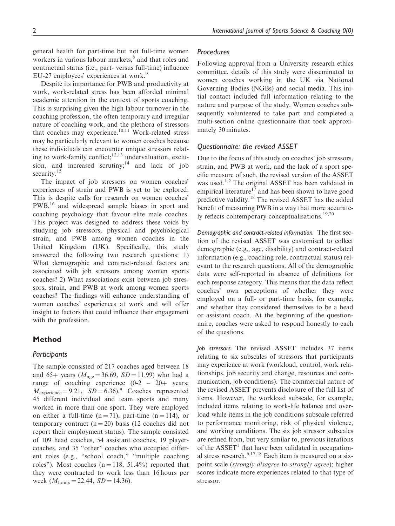general health for part-time but not full-time women workers in various labour markets,<sup>8</sup> and that roles and contractual status (i.e., part- versus full-time) influence EU-27 employees' experiences at work.<sup>9</sup>

Despite its importance for PWB and productivity at work, work-related stress has been afforded minimal academic attention in the context of sports coaching. This is surprising given the high labour turnover in the coaching profession, the often temporary and irregular nature of coaching work, and the plethora of stressors that coaches may experience.<sup>10,11</sup> Work-related stress may be particularly relevant to women coaches because these individuals can encounter unique stressors relating to work-family conflict; $12,13$  undervaluation, exclusion, and increased scrutiny;<sup>14</sup> and lack of job security.<sup>15</sup>

The impact of job stressors on women coaches' experiences of strain and PWB is yet to be explored. This is despite calls for research on women coaches' PWB,<sup>16</sup> and widespread sample biases in sport and coaching psychology that favour elite male coaches. This project was designed to address these voids by studying job stressors, physical and psychological strain, and PWB among women coaches in the United Kingdom (UK). Specifically, this study answered the following two research questions: 1) What demographic and contract-related factors are associated with job stressors among women sports coaches? 2) What associations exist between job stressors, strain, and PWB at work among women sports coaches? The findings will enhance understanding of women coaches' experiences at work and will offer insight to factors that could influence their engagement with the profession.

#### Method

#### **Participants**

The sample consisted of 217 coaches aged between 18 and 65+ years ( $M_{\text{age}} = 36.69$ ,  $SD = 11.99$ ) who had a range of coaching experience  $(0-2 - 20+)$  years;  $M_{\text{experience}} = 9.21$ ,  $SD = 6.36$ .<sup>a</sup> Coaches represented 45 different individual and team sports and many worked in more than one sport. They were employed on either a full-time  $(n = 71)$ , part-time  $(n = 114)$ , or temporary contract  $(n = 20)$  basis (12 coaches did not report their employment status). The sample consisted of 109 head coaches, 54 assistant coaches, 19 playercoaches, and 35 "other" coaches who occupied different roles (e.g., "school coach," "multiple coaching roles"). Most coaches  $(n = 118, 51.4\%)$  reported that they were contracted to work less than 16 hours per week  $(M_{\text{hours}} = 22.44, SD = 14.36).$ 

#### **Procedures**

Following approval from a University research ethics committee, details of this study were disseminated to women coaches working in the UK via National Governing Bodies (NGBs) and social media. This initial contact included full information relating to the nature and purpose of the study. Women coaches subsequently volunteered to take part and completed a multi-section online questionnaire that took approximately 30 minutes.

#### Questionnaire: the revised ASSET

Due to the focus of this study on coaches' job stressors, strain, and PWB at work, and the lack of a sport specific measure of such, the revised version of the ASSET was used.<sup>1,2</sup> The original ASSET has been validated in empirical literature<sup>17</sup> and has been shown to have good predictive validity.<sup>18</sup> The revised ASSET has the added benefit of measuring PWB in a way that more accurately reflects contemporary conceptualisations.<sup>19,20</sup>

Demographic and contract-related information. The first section of the revised ASSET was customised to collect demographic (e.g., age, disability) and contract-related information (e.g., coaching role, contractual status) relevant to the research questions. All of the demographic data were self-reported in absence of definitions for each response category. This means that the data reflect coaches' own perceptions of whether they were employed on a full- or part-time basis, for example, and whether they considered themselves to be a head or assistant coach. At the beginning of the questionnaire, coaches were asked to respond honestly to each of the questions.

Job stressors. The revised ASSET includes 37 items relating to six subscales of stressors that participants may experience at work (workload, control, work relationships, job security and change, resources and communication, job conditions). The commercial nature of the revised ASSET prevents disclosure of the full list of items. However, the workload subscale, for example, included items relating to work-life balance and overload while items in the job conditions subscale referred to performance monitoring, risk of physical violence, and working conditions. The six job stressor subscales are refined from, but very similar to, previous iterations of the  $ASSET<sup>1</sup>$  that have been validated in occupational stress research. $6,17,18$  Each item is measured on a sixpoint scale (strongly disagree to strongly agree); higher scores indicate more experiences related to that type of stressor.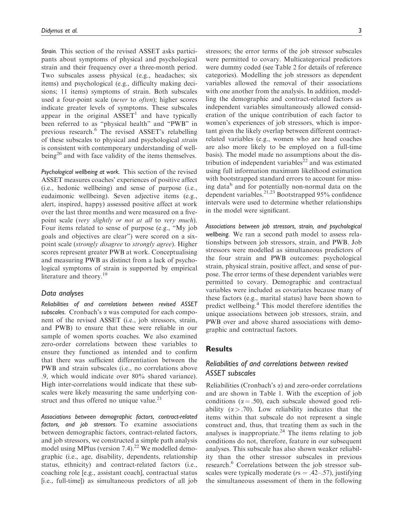Strain. This section of the revised ASSET asks participants about symptoms of physical and psychological strain and their frequency over a three-month period. Two subscales assess physical (e.g., headaches; six items) and psychological (e.g., difficulty making decisions; 11 items) symptoms of strain. Both subscales used a four-point scale (never to often); higher scores indicate greater levels of symptoms. These subscales appear in the original  $ASSET<sup>1</sup>$  and have typically been referred to as "physical health" and "PWB" in previous research.<sup>6</sup> The revised ASSET's relabelling of these subscales to physical and psychological strain is consistent with contemporary understanding of wellbeing<sup>20</sup> and with face validity of the items themselves.

Psychological wellbeing at work. This section of the revised ASSET measures coaches' experiences of positive affect (i.e., hedonic wellbeing) and sense of purpose (i.e., eudaimonic wellbeing). Seven adjective items (e.g., alert, inspired, happy) assessed positive affect at work over the last three months and were measured on a fivepoint scale (very slightly or not at all to very much). Four items related to sense of purpose (e.g., "My job goals and objectives are clear") were scored on a sixpoint scale (strongly disagree to strongly agree). Higher scores represent greater PWB at work. Conceptualising and measuring PWB as distinct from a lack of psychological symptoms of strain is supported by empirical literature and theory.<sup>19</sup>

#### Data analyses

Reliabilities of and correlations between revised ASSET subscales. Cronbach's  $\alpha$  was computed for each component of the revised ASSET (i.e., job stressors, strain, and PWB) to ensure that these were reliable in our sample of women sports coaches. We also examined zero-order correlations between these variables to ensure they functioned as intended and to confirm that there was sufficient differentiation between the PWB and strain subscales (i.e., no correlations above .9, which would indicate over 80% shared variance). High inter-correlations would indicate that these subscales were likely measuring the same underlying construct and thus offered no unique value. $21$ 

Associations between demographic factors, contract-related factors, and job stressors. To examine associations between demographic factors, contract-related factors, and job stressors, we constructed a simple path analysis model using MPlus (version  $7.4$ ).<sup>22</sup> We modelled demographic (i.e., age, disability, dependents, relationship status, ethnicity) and contract-related factors (i.e., coaching role [e.g., assistant coach], contractual status [i.e., full-time]) as simultaneous predictors of all job stressors; the error terms of the job stressor subscales were permitted to covary. Multicategorical predictors were dummy coded (see Table 2 for details of reference categories). Modelling the job stressors as dependent variables allowed the removal of their associations with one another from the analysis. In addition, modelling the demographic and contract-related factors as independent variables simultaneously allowed consideration of the unique contribution of each factor to women's experiences of job stressors, which is important given the likely overlap between different contractrelated variables (e.g., women who are head coaches are also more likely to be employed on a full-time basis). The model made no assumptions about the distribution of independent variables<sup>22</sup> and was estimated using full information maximum likelihood estimation with bootstrapped standard errors to account for missing data<sup>b</sup> and for potentially non-normal data on the dependent variables.<sup>21,23</sup> Bootstrapped 95% confidence intervals were used to determine whether relationships in the model were significant.

Associations between job stressors, strain, and psychological wellbeing. We ran a second path model to assess relationships between job stressors, strain, and PWB. Job stressors were modelled as simultaneous predictors of the four strain and PWB outcomes: psychological strain, physical strain, positive affect, and sense of purpose. The error terms of these dependent variables were permitted to covary. Demographic and contractual variables were included as covariates because many of these factors (e.g., marital status) have been shown to predict wellbeing.<sup>4</sup> This model therefore identifies the unique associations between job stressors, strain, and PWB over and above shared associations with demographic and contractual factors.

#### Results

#### Reliabilities of and correlations between revised ASSET subscales

Reliabilities (Cronbach's  $\alpha$ ) and zero-order correlations and are shown in Table 1. With the exception of job conditions ( $\alpha = .50$ ), each subscale showed good reliability ( $\alpha$  > .70). Low reliability indicates that the items within that subscale do not represent a single construct and, thus, that treating them as such in the analyses is inappropriate.<sup>24</sup> The items relating to job conditions do not, therefore, feature in our subsequent analyses. This subscale has also shown weaker reliability than the other stressor subscales in previous research.<sup>6</sup> Correlations between the job stressor subscales were typically moderate ( $rs = .42-.57$ ), justifying the simultaneous assessment of them in the following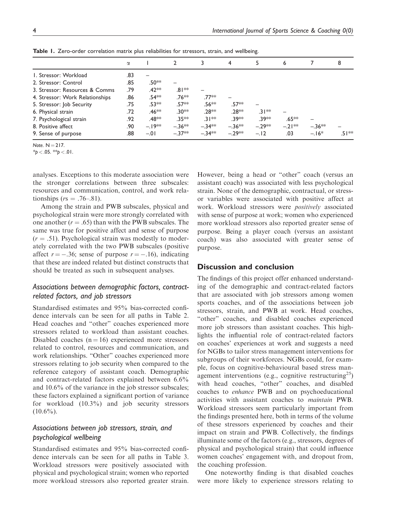|                                 | $\alpha$ |                    |                   | 3         | 4         | 5        | 6        |           | 8       |
|---------------------------------|----------|--------------------|-------------------|-----------|-----------|----------|----------|-----------|---------|
| I. Stressor: Workload           | .83      |                    |                   |           |           |          |          |           |         |
| 2. Stressor: Control            | .85      | .50**              |                   |           |           |          |          |           |         |
| 3. Stressor: Resources & Comms  | .79      | $.42**$            | $.81**$           |           |           |          |          |           |         |
| 4. Stressor: Work Relationships | .86      | $.54***$           | .76 <sup>**</sup> | .77**     |           |          |          |           |         |
| 5. Stressor: Job Security       | .75      | $.53**$            | $.57**$           | .56**     | .57**     |          |          |           |         |
| 6. Physical strain              | .72      | .46 <sup>**</sup>  | .30**             | .28 **    | .28 **    | $31**$   |          |           |         |
| 7. Psychological strain         | .92      | .48 <sup>*</sup> * | $.35***$          | $31**$    | .39 **    | .39**    | $.65***$ |           |         |
| 8. Positive affect              | .90      | $-.19**$           | $-.36***$         | $-.34***$ | $-.36***$ | $-.29**$ | $-21**$  | $-.36***$ |         |
| 9. Sense of purpose             | .88      | $-.01$             | $-.37**$          | $-.34***$ | $-.29**$  | $-.12$   | .03      | $-.16*$   | $.51**$ |

Table 1. Zero-order correlation matrix plus reliabilities for stressors, strain, and wellbeing.

Note.  $N = 217$ .

 $*$ p < .05.  $*$  $p$  < .01.

analyses. Exceptions to this moderate association were the stronger correlations between three subscales: resources and communication, control, and work relationships ( $rs = .76-.81$ ).

Among the strain and PWB subscales, physical and psychological strain were more strongly correlated with one another  $(r = .65)$  than with the PWB subscales. The same was true for positive affect and sense of purpose  $(r = .51)$ . Psychological strain was modestly to moderately correlated with the two PWB subscales (positive affect  $r = -.36$ ; sense of purpose  $r = -.16$ ), indicating that these are indeed related but distinct constructs that should be treated as such in subsequent analyses.

### Associations between demographic factors, contractrelated factors, and job stressors

Standardised estimates and 95% bias-corrected confidence intervals can be seen for all paths in Table 2. Head coaches and "other" coaches experienced more stressors related to workload than assistant coaches. Disabled coaches  $(n = 16)$  experienced more stressors related to control, resources and communication, and work relationships. "Other" coaches experienced more stressors relating to job security when compared to the reference category of assistant coach. Demographic and contract-related factors explained between 6.6% and 10.6% of the variance in the job stressor subscales; these factors explained a significant portion of variance for workload (10.3%) and job security stressors  $(10.6\%)$ .

## Associations between job stressors, strain, and psychological wellbeing

Standardised estimates and 95% bias-corrected confidence intervals can be seen for all paths in Table 3. Workload stressors were positively associated with physical and psychological strain; women who reported more workload stressors also reported greater strain. However, being a head or "other" coach (versus an assistant coach) was associated with less psychological strain. None of the demographic, contractual, or stressor variables were associated with positive affect at work. Workload stressors were positively associated with sense of purpose at work; women who experienced more workload stressors also reported greater sense of purpose. Being a player coach (versus an assistant coach) was also associated with greater sense of purpose.

#### Discussion and conclusion

The findings of this project offer enhanced understanding of the demographic and contract-related factors that are associated with job stressors among women sports coaches, and of the associations between job stressors, strain, and PWB at work. Head coaches, "other" coaches, and disabled coaches experienced more job stressors than assistant coaches. This highlights the influential role of contract-related factors on coaches' experiences at work and suggests a need for NGBs to tailor stress management interventions for subgroups of their workforces. NGBs could, for example, focus on cognitive-behavioural based stress management interventions (e.g., cognitive restructuring<sup>25</sup>) with head coaches, "other" coaches, and disabled coaches to enhance PWB and on psychoeducational activities with assistant coaches to maintain PWB. Workload stressors seem particularly important from the findings presented here, both in terms of the volume of these stressors experienced by coaches and their impact on strain and PWB. Collectively, the findings illuminate some of the factors (e.g., stressors, degrees of physical and psychological strain) that could influence women coaches' engagement with, and dropout from, the coaching profession.

One noteworthy finding is that disabled coaches were more likely to experience stressors relating to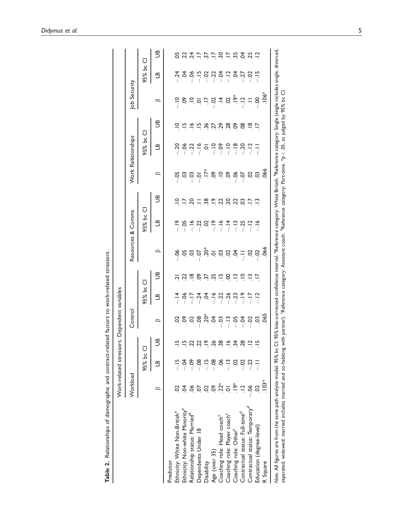|                                                                                                                                                                                                                                                  |                  | Work-related stressors: Dependent variables |                  |                               |                          |                                                             |                                                                                                                                                |                   |             |                                              |                    |                                          |                                                                                                                                                                                                     |           |                         |
|--------------------------------------------------------------------------------------------------------------------------------------------------------------------------------------------------------------------------------------------------|------------------|---------------------------------------------|------------------|-------------------------------|--------------------------|-------------------------------------------------------------|------------------------------------------------------------------------------------------------------------------------------------------------|-------------------|-------------|----------------------------------------------|--------------------|------------------------------------------|-----------------------------------------------------------------------------------------------------------------------------------------------------------------------------------------------------|-----------|-------------------------|
|                                                                                                                                                                                                                                                  | Workload         |                                             |                  | Control                       |                          |                                                             |                                                                                                                                                | Resources & Comms |             |                                              | Work Relationships |                                          | ob Security                                                                                                                                                                                         |           |                         |
|                                                                                                                                                                                                                                                  |                  | 95% bc Cl                                   |                  |                               | 95% bc Cl                |                                                             |                                                                                                                                                | 95% bc CI         |             |                                              | 95% bc             | Ū                                        |                                                                                                                                                                                                     | 95% bc Cl |                         |
|                                                                                                                                                                                                                                                  | ∞                | $\mathbf{a}$                                | S                | ≏                             | <u>ය</u>                 | පී                                                          | ≏                                                                                                                                              | ۹٦                | B           | ≏                                            | ධ                  | B                                        | $\circ$                                                                                                                                                                                             | ॶ         | 9                       |
| Predictor                                                                                                                                                                                                                                        |                  |                                             |                  |                               |                          |                                                             |                                                                                                                                                |                   |             |                                              |                    |                                          |                                                                                                                                                                                                     |           |                         |
| Ethnicity: White Non-British <sup>a</sup>                                                                                                                                                                                                        |                  |                                             |                  |                               |                          |                                                             |                                                                                                                                                |                   |             |                                              |                    | $\supseteq$                              |                                                                                                                                                                                                     |           |                         |
| Ethnicity: Non-white Minority <sup>a</sup>                                                                                                                                                                                                       | इं               |                                             |                  |                               |                          |                                                             |                                                                                                                                                |                   |             |                                              |                    | $\frac{15}{6}$                           |                                                                                                                                                                                                     |           |                         |
| Relationship status: Married <sup>b</sup>                                                                                                                                                                                                        |                  |                                             |                  |                               |                          |                                                             |                                                                                                                                                |                   |             |                                              |                    |                                          |                                                                                                                                                                                                     |           |                         |
| Dependents Under 18                                                                                                                                                                                                                              |                  | $-08$                                       | $-2.329$ $-2.89$ |                               |                          |                                                             |                                                                                                                                                |                   |             |                                              |                    |                                          |                                                                                                                                                                                                     |           |                         |
| Disability                                                                                                                                                                                                                                       |                  | $\frac{15}{1}$                              |                  |                               |                          |                                                             |                                                                                                                                                |                   |             |                                              |                    |                                          |                                                                                                                                                                                                     |           |                         |
| Age (over 35)                                                                                                                                                                                                                                    | S.               | $-08$                                       |                  |                               |                          |                                                             |                                                                                                                                                |                   |             |                                              |                    |                                          |                                                                                                                                                                                                     |           |                         |
| Coaching role: Head coach <sup>c</sup>                                                                                                                                                                                                           | $2^*$            | న                                           |                  |                               |                          |                                                             |                                                                                                                                                |                   |             |                                              |                    |                                          |                                                                                                                                                                                                     |           |                         |
| Coaching role: Player coach <sup>c</sup>                                                                                                                                                                                                         |                  |                                             | $-5.75822$       | ៜៜៜឨ៓ៜ៓ឨឨឨឨឨឨ<br>ៜ៓ឨឨ៓ឨឨឨឨឨឨឨ | 19744922420272<br> -<br> | 12 12 12 12 12 12 12 12 12 13 12 12 13 12 12 13 14 15 16 17 | $889950$ $-1299$                                                                                                                               |                   | 25.87898887 | $5.8337$ $-1.829$ $-2.833$ $-1.933$ $-1.933$ |                    | razione e                                | $\frac{1}{2}$ $\frac{1}{6}$ $\frac{1}{6}$ $\frac{1}{6}$ $\frac{1}{6}$ $\frac{1}{6}$ $\frac{1}{6}$ $\frac{1}{6}$ $\frac{1}{6}$ $\frac{1}{6}$ $\frac{1}{6}$ $\frac{1}{6}$ $\frac{1}{6}$ $\frac{1}{6}$ |           | いひみ リアワックきゅう            |
| Coaching role: Other <sup>c</sup>                                                                                                                                                                                                                | $\sum_{i=1}^{n}$ |                                             |                  |                               |                          |                                                             |                                                                                                                                                |                   |             |                                              | $-18$              |                                          |                                                                                                                                                                                                     |           |                         |
| Contractual status: Full-time <sup>d</sup>                                                                                                                                                                                                       |                  | ອີ                                          |                  |                               |                          |                                                             |                                                                                                                                                |                   |             |                                              |                    |                                          |                                                                                                                                                                                                     |           |                         |
| Contractual status: Temporary <sup>d</sup>                                                                                                                                                                                                       |                  |                                             |                  |                               |                          |                                                             |                                                                                                                                                |                   |             |                                              | $-12$              | $\frac{\infty}{\cdot}$ $\frac{1}{\cdot}$ |                                                                                                                                                                                                     |           |                         |
| Education (degree-level)                                                                                                                                                                                                                         | S                |                                             |                  |                               |                          |                                                             |                                                                                                                                                | $\frac{8}{1}$     | $\tilde{=}$ |                                              | $\overline{a}$     |                                          | $-0.0$                                                                                                                                                                                              |           | $\overline{\mathbf{c}}$ |
| R Square                                                                                                                                                                                                                                         | $.103*$          |                                             |                  |                               |                          |                                                             |                                                                                                                                                |                   |             |                                              |                    |                                          | $-106$                                                                                                                                                                                              |           |                         |
| separated, widowed; married includes married and co-habiting with partner). Reference category: Assistant coach. 'Reference category: Part-time. *p < 05, as judged by 95% bc<br>Note. All figures are from the same path analysis model. 95% bc |                  |                                             |                  |                               |                          |                                                             | CI: 95% bias-corrected confidence interval. "Reference category: White British. "Reference category: Single (single includes single, divorced, |                   |             |                                              |                    |                                          | ರ                                                                                                                                                                                                   |           |                         |

Table 2. Relationships of demographic and contract-related factors to work-related stressors. Table 2. Relationships of demographic and contract-related factors to work-related stressors.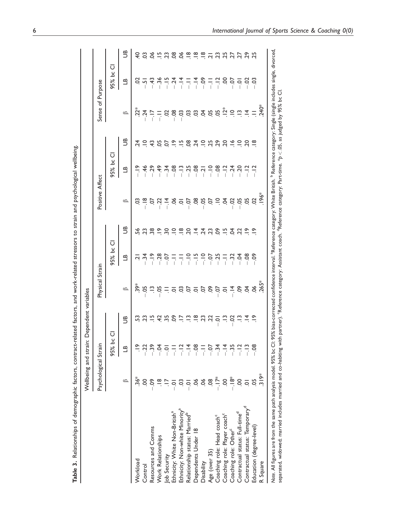|                                                                                                                                                                                                                                                                                  |                      | Wellbeing and strain: | Dependent variables                         |                                                                                                                                                                                                                                                                                                                     |                                                         |                         |                                                                                                                                                                                                                                                                               |                |                        |                                                                                                                                                                                                                                                                                                                                                                                                                                                                                                                                                         |                          |                                               |
|----------------------------------------------------------------------------------------------------------------------------------------------------------------------------------------------------------------------------------------------------------------------------------|----------------------|-----------------------|---------------------------------------------|---------------------------------------------------------------------------------------------------------------------------------------------------------------------------------------------------------------------------------------------------------------------------------------------------------------------|---------------------------------------------------------|-------------------------|-------------------------------------------------------------------------------------------------------------------------------------------------------------------------------------------------------------------------------------------------------------------------------|----------------|------------------------|---------------------------------------------------------------------------------------------------------------------------------------------------------------------------------------------------------------------------------------------------------------------------------------------------------------------------------------------------------------------------------------------------------------------------------------------------------------------------------------------------------------------------------------------------------|--------------------------|-----------------------------------------------|
|                                                                                                                                                                                                                                                                                  | Psychological Strain |                       |                                             | Physical Strain                                                                                                                                                                                                                                                                                                     |                                                         |                         | Positive Affect                                                                                                                                                                                                                                                               |                |                        | Sense of Purpose                                                                                                                                                                                                                                                                                                                                                                                                                                                                                                                                        |                          |                                               |
|                                                                                                                                                                                                                                                                                  |                      | ū<br>ںِ<br>95% b      |                                             |                                                                                                                                                                                                                                                                                                                     | 95% bc                                                  | Ū                       |                                                                                                                                                                                                                                                                               | 95% bc         | ū                      |                                                                                                                                                                                                                                                                                                                                                                                                                                                                                                                                                         | 95% bc                   | ū                                             |
|                                                                                                                                                                                                                                                                                  | $\circ$              | பீ                    | Э                                           | $\circ$                                                                                                                                                                                                                                                                                                             | <u>ය</u>                                                | Э                       | ≏                                                                                                                                                                                                                                                                             | <u>ය</u>       | Э                      | $\circ$                                                                                                                                                                                                                                                                                                                                                                                                                                                                                                                                                 | ධ                        | Э                                             |
| Workload                                                                                                                                                                                                                                                                         | 36*                  |                       | S3                                          |                                                                                                                                                                                                                                                                                                                     |                                                         | 56                      | ප                                                                                                                                                                                                                                                                             | $rac{6}{1}$    | $\overline{24}$        |                                                                                                                                                                                                                                                                                                                                                                                                                                                                                                                                                         | S                        | $\overline{4}$                                |
| Control                                                                                                                                                                                                                                                                          | S                    |                       | ಇ                                           | $\frac{2}{3}$ $\frac{1}{3}$ $\frac{1}{6}$ $\frac{1}{6}$ $\frac{1}{6}$ $\frac{1}{6}$ $\frac{1}{6}$ $\frac{1}{6}$ $\frac{1}{6}$ $\frac{1}{6}$ $\frac{1}{6}$ $\frac{1}{6}$ $\frac{1}{6}$ $\frac{1}{6}$ $\frac{1}{6}$ $\frac{1}{6}$ $\frac{1}{6}$ $\frac{1}{6}$ $\frac{1}{6}$ $\frac{1}{6}$ $\frac{1}{6}$ $\frac{1}{6}$ | يٰ بن                                                   | 23                      |                                                                                                                                                                                                                                                                               | $-46$          | $\subseteq$            | $\stackrel{*}{\mathcal{L}}\stackrel{\star}{\mathcal{L}}\stackrel{\star}{\mathcal{L}}\stackrel{\star}{\mathcal{L}}\stackrel{\star}{\mathcal{L}}\stackrel{\star}{\mathcal{L}}\stackrel{\star}{\mathcal{L}}\stackrel{\star}{\mathcal{L}}\stackrel{\star}{\mathcal{L}}\stackrel{\star}{\mathcal{L}}\stackrel{\star}{\mathcal{L}}\stackrel{\star}{\mathcal{L}}\stackrel{\star}{\mathcal{L}}\stackrel{\star}{\mathcal{L}}\stackrel{\star}{\mathcal{L}}\stackrel{\star}{\mathcal{L}}\stackrel{\star}{\mathcal{L}}\stackrel{\star}{\mathcal{L}}\stackrel{\star$ | $\overline{5}$           | CS                                            |
| Resources and Comms                                                                                                                                                                                                                                                              |                      | $-39$                 |                                             |                                                                                                                                                                                                                                                                                                                     | $rac{5}{1}$                                             | 38                      | $\frac{8}{1}$ , $\frac{8}{1}$ , $\frac{1}{2}$ , $\frac{4}{5}$ , $\frac{8}{1}$ , $\frac{1}{2}$ , $\frac{8}{1}$ , $\frac{1}{2}$ , $\frac{8}{1}$ , $\frac{1}{2}$ , $\frac{8}{1}$ , $\frac{1}{2}$ , $\frac{1}{2}$ , $\frac{1}{2}$ , $\frac{1}{2}$ , $\frac{1}{2}$ , $\frac{1}{2}$ | $-29$          | $\frac{3}{4}$          |                                                                                                                                                                                                                                                                                                                                                                                                                                                                                                                                                         | $-43$                    | 8Ó                                            |
| Work Relationships                                                                                                                                                                                                                                                               |                      | $-5$                  | 42                                          |                                                                                                                                                                                                                                                                                                                     | $-0.28$                                                 | $\tilde{=}$             |                                                                                                                                                                                                                                                                               | $-49$          | 50                     |                                                                                                                                                                                                                                                                                                                                                                                                                                                                                                                                                         | $-36$                    |                                               |
| Job Security                                                                                                                                                                                                                                                                     |                      | $\overline{Q}$        | 35                                          |                                                                                                                                                                                                                                                                                                                     | $-0.7$                                                  | $\overline{30}$         |                                                                                                                                                                                                                                                                               | $-34$          | 5                      |                                                                                                                                                                                                                                                                                                                                                                                                                                                                                                                                                         | $-15$                    | $\frac{15}{2}$ $\frac{23}{2}$                 |
| Ethnicity: White Non-British <sup>a</sup>                                                                                                                                                                                                                                        |                      | Ę                     | န္ပ                                         |                                                                                                                                                                                                                                                                                                                     | 두                                                       | $\supseteq$             |                                                                                                                                                                                                                                                                               | $-0.08$        | $\frac{\infty}{\cdot}$ |                                                                                                                                                                                                                                                                                                                                                                                                                                                                                                                                                         | $-24$                    | $\overline{0}$                                |
| Ethnicity: Non-white Minority <sup>a</sup>                                                                                                                                                                                                                                       |                      | $-12$                 | Ξ                                           |                                                                                                                                                                                                                                                                                                                     |                                                         | $\frac{\infty}{\infty}$ |                                                                                                                                                                                                                                                                               | $-13$          | $\Xi$                  |                                                                                                                                                                                                                                                                                                                                                                                                                                                                                                                                                         | $-14$                    | 8Ó                                            |
| Relationship status: Married <sup>b</sup>                                                                                                                                                                                                                                        |                      | $-14$                 |                                             |                                                                                                                                                                                                                                                                                                                     | $\frac{1}{2}$ $\frac{1}{2}$ $\frac{1}{2}$ $\frac{1}{2}$ | 20                      |                                                                                                                                                                                                                                                                               | $-25$          | 8O                     |                                                                                                                                                                                                                                                                                                                                                                                                                                                                                                                                                         | Ę                        |                                               |
| Dependents Under 18                                                                                                                                                                                                                                                              |                      | $-0.08$               | $\stackrel{\infty}{\overline{\phantom{0}}}$ |                                                                                                                                                                                                                                                                                                                     |                                                         | 프                       |                                                                                                                                                                                                                                                                               | $-08$          | $\overline{24}$        |                                                                                                                                                                                                                                                                                                                                                                                                                                                                                                                                                         | $\frac{4}{1}$            | $\frac{\infty}{\cdot}$ $\frac{\infty}{\cdot}$ |
| Disability                                                                                                                                                                                                                                                                       |                      | Ę                     | 3.                                          |                                                                                                                                                                                                                                                                                                                     | $-10$<br>$-5$<br>$-1$<br>$-1$                           | $\overline{24}$         |                                                                                                                                                                                                                                                                               | $\overline{2}$ | $\frac{1}{2}$          |                                                                                                                                                                                                                                                                                                                                                                                                                                                                                                                                                         | $-0.9$                   | $rac{8}{10}$ $rac{1}{2}$                      |
| Age (over 35)                                                                                                                                                                                                                                                                    | $\frac{8}{2}$        | $-0.7$                | S                                           |                                                                                                                                                                                                                                                                                                                     |                                                         | 23                      |                                                                                                                                                                                                                                                                               | $\frac{1}{2}$  | 25                     |                                                                                                                                                                                                                                                                                                                                                                                                                                                                                                                                                         | $\frac{1}{\overline{1}}$ |                                               |
| Coaching role: Head coach <sup>c</sup>                                                                                                                                                                                                                                           | $\sum_{i=1}^{k}$     | $-34$                 | $\overline{Q}$                              |                                                                                                                                                                                                                                                                                                                     |                                                         | $\infty$                |                                                                                                                                                                                                                                                                               | $-08$          |                        |                                                                                                                                                                                                                                                                                                                                                                                                                                                                                                                                                         | $-12$                    |                                               |
| Coaching role: Player coach <sup>c</sup>                                                                                                                                                                                                                                         | S                    | $-14$                 | $\tilde{\Xi}$                               |                                                                                                                                                                                                                                                                                                                     | $=$ $\frac{5}{1}$ $\frac{3}{1}$ $\frac{3}{1}$           | $\Xi$                   |                                                                                                                                                                                                                                                                               | $-12$          | $\overline{c}$         |                                                                                                                                                                                                                                                                                                                                                                                                                                                                                                                                                         | S.                       | ನೆ ಸ                                          |
| Coaching role: Other <sup>c</sup>                                                                                                                                                                                                                                                | $\frac{8}{1}$        | $-35$                 | $-0.02$                                     |                                                                                                                                                                                                                                                                                                                     |                                                         | \$                      |                                                                                                                                                                                                                                                                               | $-24$          | $\tilde{=}$            |                                                                                                                                                                                                                                                                                                                                                                                                                                                                                                                                                         | $-0$                     | 27                                            |
| Contractual status: Full-time <sup>d</sup>                                                                                                                                                                                                                                       | S                    | $-12$                 | $\tilde{\Xi}$                               |                                                                                                                                                                                                                                                                                                                     |                                                         | 22                      |                                                                                                                                                                                                                                                                               | $-20$          | $\supseteq$            |                                                                                                                                                                                                                                                                                                                                                                                                                                                                                                                                                         | $\overline{Q}$           | 27                                            |
| Contractual status: Temporary <sup>o</sup>                                                                                                                                                                                                                                       | $\overline{Q}$       | $-13$                 | $\vec{a}$                                   |                                                                                                                                                                                                                                                                                                                     | $-08$                                                   | $\tilde{=}$             |                                                                                                                                                                                                                                                                               | $-12$          | 20                     |                                                                                                                                                                                                                                                                                                                                                                                                                                                                                                                                                         | $-0.2$                   | 29                                            |
| Education (degree-level)                                                                                                                                                                                                                                                         | 5O                   | $-08$                 |                                             | $06 \times 5^*$                                                                                                                                                                                                                                                                                                     | $-0$                                                    | $\tilde{=}$             | S                                                                                                                                                                                                                                                                             | $-12$          | $\frac{\infty}{\cdot}$ | $=$ $\frac{4}{5}$                                                                                                                                                                                                                                                                                                                                                                                                                                                                                                                                       | $-03$                    | 25                                            |
| R Square                                                                                                                                                                                                                                                                         | $\frac{319*}{5}$     |                       |                                             |                                                                                                                                                                                                                                                                                                                     |                                                         |                         | $-196*$                                                                                                                                                                                                                                                                       |                |                        |                                                                                                                                                                                                                                                                                                                                                                                                                                                                                                                                                         |                          |                                               |
| Note. All figures are from the same path analysis model. 95% bic Cl: 95% bias-corrected confidence interval. "Reference category: White British. "Reference category: Single (single includes single, divorced<br>separated, widowed; married includes married and co-habiting w |                      |                       |                                             |                                                                                                                                                                                                                                                                                                                     |                                                         |                         | ith partner). 'Reference category: Assistant coach. ''Reference category: Part-time. *p < 05, as judged by 95% bc Cl                                                                                                                                                          |                |                        |                                                                                                                                                                                                                                                                                                                                                                                                                                                                                                                                                         |                          |                                               |

| $\overline{a}$<br>i<br>j<br>$\overline{\phantom{a}}$<br>Ξ |
|-----------------------------------------------------------|
| Ì                                                         |
| ı<br>S<br>$\sim$ 4 $\sim$ $\sim$<br>j<br>i                |
| j                                                         |
| S<br>$\ddot{\phantom{0}}$<br>)<br>)<br>)<br>)             |
| )<br>)<br>)<br>$\vdots$<br>ļ<br>j<br>l<br>l               |
| l<br>١                                                    |
| j<br>Ć                                                    |
| Table 3.<br>ĺ                                             |

6 International Journal of Sports Science & Coaching 0(0)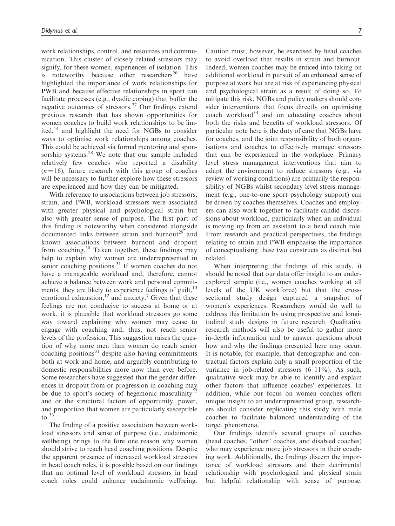work relationships, control, and resources and communication. This cluster of closely related stressors may signify, for these women, experiences of isolation. This is noteworthy because other researchers<sup>26</sup> have highlighted the importance of work relationships for PWB and because effective relationships in sport can facilitate processes (e.g., dyadic coping) that buffer the negative outcomes of stressors.<sup>27</sup> Our findings extend previous research that has shown opportunities for women coaches to build work relationships to be limited,<sup>14</sup> and highlight the need for NGBs to consider ways to optimise work relationships among coaches. This could be achieved via formal mentoring and sponsorship systems.<sup>28</sup> We note that our sample included relatively few coaches who reported a disability  $(n = 16)$ ; future research with this group of coaches will be necessary to further explore how these stressors are experienced and how they can be mitigated.

With reference to associations between job stressors, strain, and PWB, workload stressors were associated with greater physical and psychological strain but also with greater sense of purpose. The first part of this finding is noteworthy when considered alongside documented links between strain and burnout<sup>29</sup> and known associations between burnout and dropout from coaching. $30$  Taken together, these findings may help to explain why women are underrepresented in senior coaching positions.<sup>31</sup> If women coaches do not have a manageable workload and, therefore, cannot achieve a balance between work and personal commitments, they are likely to experience feelings of guilt, $13$ emotional exhaustion,<sup>12</sup> and anxiety.<sup>7</sup> Given that these feelings are not conducive to success at home or at work, it is plausible that workload stressors go some way toward explaining why women may cease to engage with coaching and, thus, not reach senior levels of the profession. This suggestion raises the question of why more men than women do reach senior coaching positions $31$  despite also having commitments both at work and home, and arguably contributing to domestic responsibilities more now than ever before. Some researchers have suggested that the gender differences in dropout from or progression in coaching may be due to sport's society of hegemonic masculinity<sup>32</sup> and or the structural factors of opportunity, power, and proportion that women are particularly susceptible to. $33$ 

The finding of a positive association between workload stressors and sense of purpose (i.e., eudaimonic wellbeing) brings to the fore one reason why women should strive to reach head coaching positions. Despite the apparent presence of increased workload stressors in head coach roles, it is possible based on our findings that an optimal level of workload stressors in head coach roles could enhance eudaimonic wellbeing. Caution must, however, be exercised by head coaches to avoid overload that results in strain and burnout. Indeed, women coaches may be enticed into taking on additional workload in pursuit of an enhanced sense of purpose at work but are at risk of experiencing physical and psychological strain as a result of doing so. To mitigate this risk, NGBs and policy makers should consider interventions that focus directly on optimising coach workload<sup>34</sup> and on educating coaches about both the risks and benefits of workload stressors. Of particular note here is the duty of care that NGBs have for coaches, and the joint responsibility of both organisations and coaches to effectively manage stressors that can be experienced in the workplace. Primary level stress management interventions that aim to adapt the environment to reduce stressors (e.g., via review of working conditions) are primarily the responsibility of NGBs whilst secondary level stress management (e.g., one-to-one sport psychology support) can be driven by coaches themselves. Coaches and employers can also work together to facilitate candid discussions about workload, particularly when an individual is moving up from an assistant to a head coach role. From research and practical perspectives, the findings relating to strain and PWB emphasise the importance of conceptualising these two constructs as distinct but related.

When interpreting the findings of this study, it should be noted that our data offer insight to an underexplored sample (i.e., women coaches working at all levels of the UK workforce) but that the crosssectional study design captured a snapshot of women's experiences. Researchers would do well to address this limitation by using prospective and longitudinal study designs in future research. Qualitative research methods will also be useful to gather more in-depth information and to answer questions about how and why the findings presented here may occur. It is notable, for example, that demographic and contractual factors explain only a small proportion of the variance in job-related stressors  $(6-11\%)$ . As such, qualitative work may be able to identify and explain other factors that influence coaches' experiences. In addition, while our focus on women coaches offers unique insight to an underrepresented group, researchers should consider replicating this study with male coaches to facilitate balanced understanding of the target phenomena.

Our findings identify several groups of coaches (head coaches, "other" coaches, and disabled coaches) who may experience more job stressors in their coaching work. Additionally, the findings discern the importance of workload stressors and their detrimental relationship with psychological and physical strain but helpful relationship with sense of purpose.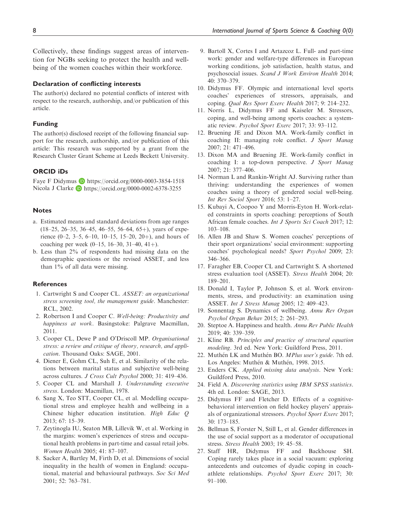Collectively, these findings suggest areas of intervention for NGBs seeking to protect the health and wellbeing of the women coaches within their workforce.

#### Declaration of conflicting interests

The author(s) declared no potential conflicts of interest with respect to the research, authorship, and/or publication of this article.

#### Funding

The author(s) disclosed receipt of the following financial support for the research, authorship, and/or publication of this article: This research was supported by a grant from the Research Cluster Grant Scheme at Leeds Beckett University.

#### ORCID iDs

Faye F Didymus **b** <https://orcid.org/0000-0003-3854-1518> Nicola J Clarke **h**ttps://orcid.org/0000-0002-6378-3255

#### **Notes**

- a. Estimated means and standard deviations from age ranges  $(18-25, 26-35, 36-45, 46-55, 56-64, 65+)$ , years of experience  $(0-2, 3-5, 6-10, 10-15, 15-20, 20+)$ , and hours of coaching per week  $(0-15, 16-30, 31-40, 41+)$ .
- b. Less than 2% of respondents had missing data on the demographic questions or the revised ASSET, and less than 1% of all data were missing.

#### **References**

- 1. Cartwright S and Cooper CL. ASSET: an organizational stress screening tool, the management guide. Manchester: RCL, 2002.
- 2. Robertson I and Cooper C. Well-being: Productivity and happiness at work. Basingstoke: Palgrave Macmillan, 2011.
- 3. Cooper CL, Dewe P and O'Driscoll MP. Organisational stress: a review and critique of theory, research, and application. Thousand Oaks: SAGE, 2001.
- 4. Diener E, Gohm CL, Suh E, et al. Similarity of the relations between marital status and subjective well-being across cultures. J Cross Cult Psychol 2000; 31: 419–436.
- 5. Cooper CL and Marshall J. Understanding executive stress. London: Macmillan, 1978.
- 6. Sang X, Teo STT, Cooper CL, et al. Modelling occupational stress and employee health and wellbeing in a Chinese higher education institution. High Educ Q 2013; 67: 15–39.
- 7. Zeytinogla IU, Seaton MB, Lillevik W, et al. Working in the margins: women's experiences of stress and occupational health problems in part-time and casual retail jobs. Women Health 2005; 41: 87–107.
- 8. Sacker A, Bartley M, Firth D, et al. Dimensions of social inequality in the health of women in England: occupational, material and behavioural pathways. Soc Sci Med 2001; 52: 763–781.
- 9. Bartoll X, Cortes I and Artazcoz L. Full- and part-time work: gender and welfare-type differences in European working conditions, job satisfaction, health status, and psychosocial issues. Scand J Work Environ Health 2014; 40: 370–379.
- 10. Didymus FF. Olympic and international level sports coaches' experiences of stressors, appraisals, and coping. Qual Res Sport Exerc Health 2017; 9: 214–232.
- 11. Norris L, Didymus FF and Kaiseler M. Stressors, coping, and well-being among sports coaches: a systematic review. Psychol Sport Exerc 2017; 33: 93–112.
- 12. Bruening JE and Dixon MA. Work-family conflict in coaching II: managing role conflict. J Sport Manag 2007; 21: 471–496.
- 13. Dixon MA and Bruening JE. Work-family conflict in coaching I: a top-down perspective. J Sport Manag 2007; 21: 377–406.
- 14. Norman L and Rankin-Wright AJ. Surviving rather than thriving: understanding the experiences of women coaches using a theory of gendered social well-being. Int Rev Sociol Sport 2016; 53: 1–27.
- 15. Kubayi A, Coopoo Y and Morris-Eyton H. Work-related constraints in sports coaching: perceptions of South African female coaches. Int J Sports Sci Coach 2017; 12: 103–108.
- 16. Allen JB and Shaw S. Women coaches' perceptions of their sport organizations' social environment: supporting coaches' psychological needs? Sport Psychol 2009; 23: 346–366.
- 17. Faragher EB, Cooper CL and Cartwright S. A shortened stress evaluation tool (ASSET). Stress Health 2004; 20: 189–201.
- 18. Donald I, Taylor P, Johnson S, et al. Work environments, stress, and productivity: an examination using ASSET. Int J Stress Manag 2005; 12: 409–423.
- 19. Sonnentag S. Dynamics of wellbeing. Annu Rev Organ Psychol Organ Behav 2015; 2: 261–293.
- 20. Steptoe A. Happiness and health. Annu Rev Public Health 2019; 40: 339–359.
- 21. Kline RB. Principles and practice of structural equation modeling. 3rd ed. New York: Guildford Press, 2011.
- 22. Muthén LK and Muthén BO. MPlus user's guide. 7th ed. Los Angeles: Muthén & Muthén, 1998. 2015.
- 23. Enders CK. Applied missing data analysis. New York: Guildford Press, 2010.
- 24. Field A. Discovering statistics using IBM SPSS statistics. 4th ed. London: SAGE, 2013.
- 25. Didymus FF and Fletcher D. Effects of a cognitivebehavioral intervention on field hockey players' appraisals of organizational stressors. Psychol Sport Exerc 2017; 30: 173–185.
- 26. Bellman S, Forster N, Still L, et al. Gender differences in the use of social support as a moderator of occupational stress. Stress Health 2003; 19: 45–58.
- 27. Staff HR, Didymus FF and Backhouse SH. Coping rarely takes place in a social vacuum: exploring antecedents and outcomes of dyadic coping in coachathlete relationships. Psychol Sport Exerc 2017; 30: 91–100.